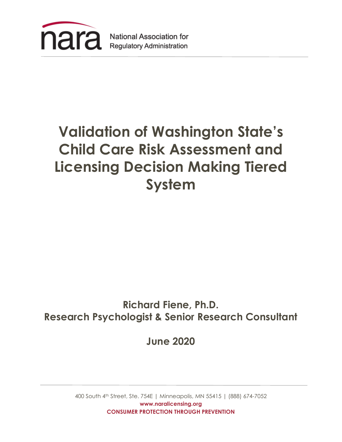

# **Validation of Washington State's Child Care Risk Assessment and Licensing Decision Making Tiered System**

# **Richard Fiene, Ph.D. Research Psychologist & Senior Research Consultant**

**June 2020**

400 South 4th Street, Ste. 754E | Minneapolis, MN 55415 | (888) 674-7052 **www.naralicensing.org CONSUMER PROTECTION THROUGH PREVENTION**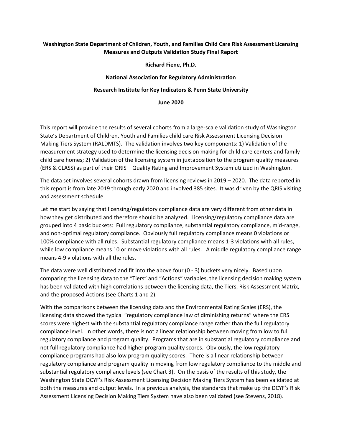# **Washington State Department of Children, Youth, and Families Child Care Risk Assessment Licensing Measures and Outputs Validation Study Final Report**

**Richard Fiene, Ph.D.**

# **National Association for Regulatory Administration**

### **Research Institute for Key Indicators & Penn State University**

#### **June 2020**

This report will provide the results of several cohorts from a large-scale validation study of Washington State's Department of Children, Youth and Families child care Risk Assessment Licensing Decision Making Tiers System (RALDMTS). The validation involves two key components: 1) Validation of the measurement strategy used to determine the licensing decision making for child care centers and family child care homes; 2) Validation of the licensing system in juxtaposition to the program quality measures (ERS & CLASS) as part of their QRIS – Quality Rating and Improvement System utilized in Washington.

The data set involves several cohorts drawn from licensing reviews in 2019 – 2020. The data reported in this report is from late 2019 through early 2020 and involved 385 sites. It was driven by the QRIS visiting and assessment schedule.

Let me start by saying that licensing/regulatory compliance data are very different from other data in how they get distributed and therefore should be analyzed. Licensing/regulatory compliance data are grouped into 4 basic buckets: Full regulatory compliance, substantial regulatory compliance, mid-range, and non-optimal regulatory compliance. Obviously full regulatory compliance means 0 violations or 100% compliance with all rules. Substantial regulatory compliance means 1-3 violations with all rules, while low compliance means 10 or move violations with all rules. A middle regulatory compliance range means 4-9 violations with all the rules.

The data were well distributed and fit into the above four (0 - 3) buckets very nicely. Based upon comparing the licensing data to the "Tiers" and "Actions" variables, the licensing decision making system has been validated with high correlations between the licensing data, the Tiers, Risk Assessment Matrix, and the proposed Actions (see Charts 1 and 2).

With the comparisons between the licensing data and the Environmental Rating Scales (ERS), the licensing data showed the typical "regulatory compliance law of diminishing returns" where the ERS scores were highest with the substantial regulatory compliance range rather than the full regulatory compliance level. In other words, there is not a linear relationship between moving from low to full regulatory compliance and program quality. Programs that are in substantial regulatory compliance and not full regulatory compliance had higher program quality scores. Obviously, the low regulatory compliance programs had also low program quality scores. There is a linear relationship between regulatory compliance and program quality in moving from low regulatory compliance to the middle and substantial regulatory compliance levels (see Chart 3). On the basis of the results of this study, the Washington State DCYF's Risk Assessment Licensing Decision Making Tiers System has been validated at both the measures and output levels. In a previous analysis, the standards that make up the DCYF's Risk Assessment Licensing Decision Making Tiers System have also been validated (see Stevens, 2018).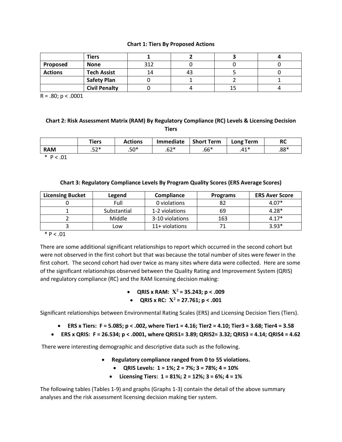#### **Chart 1: Tiers By Proposed Actions**

|                | <b>Tiers</b>         |     |    |  |
|----------------|----------------------|-----|----|--|
| Proposed       | <b>None</b>          | 217 |    |  |
| <b>Actions</b> | <b>Tech Assist</b>   | 14  | 43 |  |
|                | <b>Safety Plan</b>   |     |    |  |
|                | <b>Civil Penalty</b> |     |    |  |

 $R = .80; p < .0001$ 

# **Chart 2: Risk Assessment Matrix (RAM) By Regulatory Compliance (RC) Levels & Licensing Decision Tiers**

|            | <b>Tiers</b> | Actions | <b>Immediate</b> | <b>Short Term</b> | Term<br>Long | RC     |
|------------|--------------|---------|------------------|-------------------|--------------|--------|
| <b>RAM</b> | ro*<br>ے ب   | $.50*$  | ี่⊂า∗<br>.uz     | $.66*$            | 11 *<br>౼    | $.88*$ |

\* P < .01

#### **Chart 3: Regulatory Compliance Levels By Program Quality Scores (ERS Average Scores)**

| <b>Licensing Bucket</b> | Legend      | <b>Compliance</b> | <b>Programs</b> | <b>ERS Aver Score</b> |
|-------------------------|-------------|-------------------|-----------------|-----------------------|
|                         | Full        | 0 violations      | 82              | $4.07*$               |
|                         | Substantial | 1-2 violations    | 69              | $4.28*$               |
|                         | Middle      | 3-10 violations   | 163             | $4.17*$               |
|                         | Low         | 11+ violations    |                 | $3.93*$               |

#### $*$  P < .01

There are some additional significant relationships to report which occurred in the second cohort but were not observed in the first cohort but that was because the total number of sites were fewer in the first cohort. The second cohort had over twice as many sites where data were collected. Here are some of the significant relationships observed between the Quality Rating and Improvement System (QRIS) and regulatory compliance (RC) and the RAM licensing decision making:

- **QRIS x RAM:**  $X^2 = 35.243$ ; p < .009
- **QRIS x RC:**  $X^2 = 27.761$ ;  $p < .001$

Significant relationships between Environmental Rating Scales (ERS) and Licensing Decision Tiers (Tiers).

- **ERS x Tiers: F = 5.085; p < .002, where Tier1 = 4.16; Tier2 = 4.10; Tier3 = 3.68; Tier4 = 3.58**
- **ERS x QRIS: F = 26.534; p < .0001, where QRIS1= 3.89; QRIS2= 3.32; QRIS3 = 4.14; QRIS4 = 4.62**

There were interesting demographic and descriptive data such as the following.

- **Regulatory compliance ranged from 0 to 55 violations.**
	- **QRIS Levels: 1 = 1%; 2 = 7%; 3 = 78%; 4 = 10%**
	- **Licensing Tiers: 1 = 81%; 2 = 12%; 3 = 6%; 4 = 1%**

The following tables (Tables 1-9) and graphs (Graphs 1-3) contain the detail of the above summary analyses and the risk assessment licensing decision making tier system.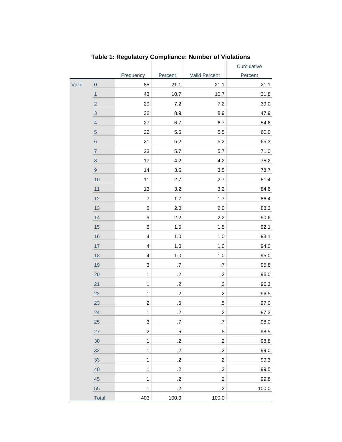|       |                  |                           |                |                | Cumulative |
|-------|------------------|---------------------------|----------------|----------------|------------|
|       |                  | Frequency                 | Percent        | Valid Percent  | Percent    |
| Valid | $\boldsymbol{0}$ | 85                        | 21.1           | 21.1           | 21.1       |
|       | $\mathbf{1}$     | 43                        | 10.7           | 10.7           | 31.8       |
|       | $\sqrt{2}$       | 29                        | 7.2            | 7.2            | 39.0       |
|       | $\sqrt{3}$       | 36                        | 8.9            | 8.9            | 47.9       |
|       | $\overline{4}$   | 27                        | 6.7            | 6.7            | 54.6       |
|       | $\overline{5}$   | 22                        | 5.5            | 5.5            | 60.0       |
|       | $\,$ 6 $\,$      | 21                        | 5.2            | 5.2            | 65.3       |
|       | $\overline{7}$   | 23                        | 5.7            | 5.7            | 71.0       |
|       | $\bf 8$          | 17                        | 4.2            | 4.2            | $75.2$     |
|       | $\boldsymbol{9}$ | 14                        | 3.5            | 3.5            | 78.7       |
|       | 10               | 11                        | 2.7            | 2.7            | 81.4       |
|       | 11               | 13                        | 3.2            | 3.2            | 84.6       |
|       | 12               | $\overline{7}$            | 1.7            | 1.7            | 86.4       |
|       | 13               | $\bf8$                    | 2.0            | 2.0            | 88.3       |
|       | 14               | $\boldsymbol{9}$          | $2.2\,$        | 2.2            | 90.6       |
|       | 15               | 6                         | 1.5            | 1.5            | 92.1       |
|       | 16               | $\overline{\mathbf{4}}$   | 1.0            | 1.0            | 93.1       |
|       | 17               | $\overline{\mathbf{4}}$   | 1.0            | $1.0$          | 94.0       |
|       | 18               | $\overline{\mathbf{4}}$   | 1.0            | 1.0            | 95.0       |
|       | 19               | $\ensuremath{\mathsf{3}}$ | $\cdot 7$      | $.7\,$         | 95.8       |
|       | 20               | $\mathbf 1$               | $.2\,$         | $.2\,$         | 96.0       |
|       | 21               | $\ddagger$                | $.2\,$         | $.2\,$         | 96.3       |
|       | 22               | $\mathbf{1}$              | $.2\,$         | $.2\,$         | 96.5       |
|       | 23               | $\overline{\mathbf{c}}$   | $.5\,$         | $.5\,$         | 97.0       |
|       | 24               | $\mathbf{1}$              | $\overline{2}$ | $\overline{c}$ | 97.3       |
|       | 25               | $\ensuremath{\mathsf{3}}$ | $.7\,$         | $.7\,$         | 98.0       |
|       | 27               | $\overline{c}$            | $.5\,$         | $.5\,$         | 98.5       |
|       | 30               | $\mathbf{1}$              | $\cdot$        | $\cdot$        | 98.8       |
|       | 32               | $\mathbf{1}$              | $\cdot$        | $\cdot$ .2     | 99.0       |
|       | 33               | $\mathbf 1$               | $\cdot$        | $\cdot$ .2     | 99.3       |
|       | 40               | $\mathbf{1}$              | $\cdot$ .2     | $\cdot$ .2     | 99.5       |
|       | 45               | $\mathbf{1}$              | $\cdot$        | $.2\,$         | 99.8       |
|       | 55               | $\mathbf 1$               | $\cdot$ .2     | $\cdot$ .2     | 100.0      |
|       | Total            | 403                       | 100.0          | 100.0          |            |

**Table 1: Regulatory Compliance: Number of Violations**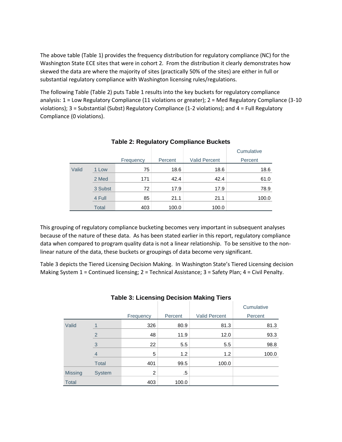The above table (Table 1) provides the frequency distribution for regulatory compliance (NC) for the Washington State ECE sites that were in cohort 2. From the distribution it clearly demonstrates how skewed the data are where the majority of sites (practically 50% of the sites) are either in full or substantial regulatory compliance with Washington licensing rules/regulations.

The following Table (Table 2) puts Table 1 results into the key buckets for regulatory compliance analysis: 1 = Low Regulatory Compliance (11 violations or greater); 2 = Med Regulatory Compliance (3-10 violations); 3 = Substantial (Subst) Regulatory Compliance (1-2 violations); and 4 = Full Regulatory Compliance (0 violations).

|       |              |           |         |                      | Cumulative |
|-------|--------------|-----------|---------|----------------------|------------|
|       |              | Frequency | Percent | <b>Valid Percent</b> | Percent    |
| Valid | 1 Low        | 75        | 18.6    | 18.6                 | 18.6       |
|       | 2 Med        | 171       | 42.4    | 42.4                 | 61.0       |
|       | 3 Subst      | 72        | 17.9    | 17.9                 | 78.9       |
|       | 4 Full       | 85        | 21.1    | 21.1                 | 100.0      |
|       | <b>Total</b> | 403       | 100.0   | 100.0                |            |

# **Table 2: Regulatory Compliance Buckets**

This grouping of regulatory compliance bucketing becomes very important in subsequent analyses because of the nature of these data. As has been stated earlier in this report, regulatory compliance data when compared to program quality data is not a linear relationship. To be sensitive to the nonlinear nature of the data, these buckets or groupings of data become very significant.

Table 3 depicts the Tiered Licensing Decision Making. In Washington State's Tiered Licensing decision Making System 1 = Continued licensing; 2 = Technical Assistance; 3 = Safety Plan; 4 = Civil Penalty.

|                |                |           | $\tilde{\phantom{a}}$ | -                    | Cumulative |
|----------------|----------------|-----------|-----------------------|----------------------|------------|
|                |                | Frequency | Percent               | <b>Valid Percent</b> | Percent    |
| Valid          |                | 326       | 80.9                  | 81.3                 | 81.3       |
|                | $\mathfrak{p}$ | 48        | 11.9                  | 12.0                 | 93.3       |
|                | 3              | 22        | 5.5                   | 5.5                  | 98.8       |
|                | 4              | 5         | 1.2                   | 1.2                  | 100.0      |
|                | <b>Total</b>   | 401       | 99.5                  | 100.0                |            |
| <b>Missing</b> | <b>System</b>  | 2         | .5                    |                      |            |
| <b>Total</b>   |                | 403       | 100.0                 |                      |            |

# **Table 3: Licensing Decision Making Tiers**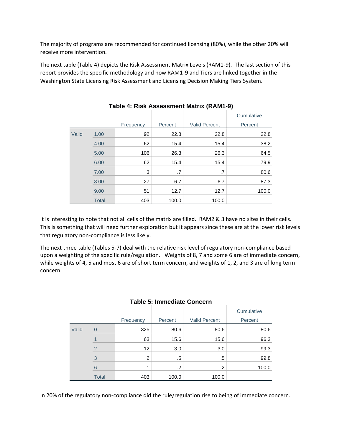The majority of programs are recommended for continued licensing (80%), while the other 20% will receive more intervention.

The next table (Table 4) depicts the Risk Assessment Matrix Levels (RAM1-9). The last section of this report provides the specific methodology and how RAM1-9 and Tiers are linked together in the Washington State Licensing Risk Assessment and Licensing Decision Making Tiers System.

|       |              |           |         |                      | Cumulative |
|-------|--------------|-----------|---------|----------------------|------------|
|       |              | Frequency | Percent | <b>Valid Percent</b> | Percent    |
| Valid | 1.00         | 92        | 22.8    | 22.8                 | 22.8       |
|       | 4.00         | 62        | 15.4    | 15.4                 | 38.2       |
|       | 5.00         | 106       | 26.3    | 26.3                 | 64.5       |
|       | 6.00         | 62        | 15.4    | 15.4                 | 79.9       |
|       | 7.00         | 3         | .7      | .7                   | 80.6       |
|       | 8.00         | 27        | 6.7     | 6.7                  | 87.3       |
|       | 9.00         | 51        | 12.7    | 12.7                 | 100.0      |
|       | <b>Total</b> | 403       | 100.0   | 100.0                |            |

**Table 4: Risk Assessment Matrix (RAM1-9)**

It is interesting to note that not all cells of the matrix are filled. RAM2 & 3 have no sites in their cells. This is something that will need further exploration but it appears since these are at the lower risk levels that regulatory non-compliance is less likely.

The next three table (Tables 5-7) deal with the relative risk level of regulatory non-compliance based upon a weighting of the specific rule/regulation. Weights of 8, 7 and some 6 are of immediate concern, while weights of 4, 5 and most 6 are of short term concern, and weights of 1, 2, and 3 are of long term concern.

|       |               |           |         |                      | Cumulative |
|-------|---------------|-----------|---------|----------------------|------------|
|       |               | Frequency | Percent | <b>Valid Percent</b> | Percent    |
| Valid | 0             | 325       | 80.6    | 80.6                 | 80.6       |
|       |               | 63        | 15.6    | 15.6                 | 96.3       |
|       | $\mathcal{P}$ | 12        | 3.0     | 3.0                  | 99.3       |
|       | 3             | 2         | .5      | .5                   | 99.8       |
|       | 6             |           | .2      | .2                   | 100.0      |
|       | <b>Total</b>  | 403       | 100.0   | 100.0                |            |

# **Table 5: Immediate Concern**

In 20% of the regulatory non-compliance did the rule/regulation rise to being of immediate concern.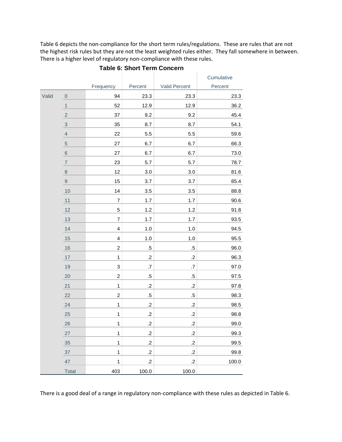Table 6 depicts the non-compliance for the short term rules/regulations. These are rules that are not the highest risk rules but they are not the least weighted rules either. They fall somewhere in between. There is a higher level of regulatory non-compliance with these rules.

÷

|       |                  |                         |            |               | Cumulative |
|-------|------------------|-------------------------|------------|---------------|------------|
|       |                  | Frequency               | Percent    | Valid Percent | Percent    |
| Valid | $\bf 0$          | 94                      | 23.3       | 23.3          | 23.3       |
|       | $\mathbf{1}$     | 52                      | 12.9       | 12.9          | 36.2       |
|       | $\sqrt{2}$       | 37                      | 9.2        | 9.2           | 45.4       |
|       | $\mathbf{3}$     | 35                      | 8.7        | 8.7           | 54.1       |
|       | $\overline{4}$   | 22                      | 5.5        | 5.5           | 59.6       |
|       | $\sqrt{5}$       | 27                      | 6.7        | 6.7           | 66.3       |
|       | $\,$ 6 $\,$      | 27                      | 6.7        | 6.7           | 73.0       |
|       | $\overline{7}$   | 23                      | 5.7        | 5.7           | 78.7       |
|       | $\,8\,$          | 12                      | 3.0        | $3.0\,$       | 81.6       |
|       | $\boldsymbol{9}$ | 15                      | 3.7        | 3.7           | 85.4       |
|       | 10               | 14                      | 3.5        | 3.5           | 88.8       |
|       | 11               | $\boldsymbol{7}$        | 1.7        | 1.7           | 90.6       |
|       | 12               | 5                       | 1.2        | 1.2           | 91.8       |
|       | 13               | $\overline{7}$          | 1.7        | 1.7           | 93.5       |
|       | 14               | $\overline{\mathbf{4}}$ | $1.0$      | 1.0           | 94.5       |
|       | 15               | $\overline{\mathbf{4}}$ | $1.0$      | 1.0           | 95.5       |
|       | $16$             | $\overline{c}$          | $.5\,$     | $.5\,$        | 96.0       |
|       | 17               | $\mathbf{1}$            | $\cdot$ .2 | $\cdot$       | 96.3       |
|       | 19               | 3                       | $.7\,$     | $.7\,$        | 97.0       |
|       | 20               | $\overline{c}$          | $.5\,$     | $.5\,$        | 97.5       |
|       | 21               | $\mathbf{1}$            | $.2\,$     | $\cdot$       | 97.8       |
|       | 22               | $\boldsymbol{2}$        | $.5\,$     | $.5\,$        | 98.3       |
|       | 24               | $\mathbf 1$             | $.2\,$     | $\cdot$       | 98.5       |
|       | 25               | $\mathbf{1}$            | $.2\,$     | $\cdot$       | 98.8       |
|       | 26               | $\mathbf 1$             | $\cdot$    | $\cdot$       | 99.0       |
|       | 27               | $\mathbf{1}$            | $\cdot$    | $\cdot$       | 99.3       |
|       | 35               | $\mathbf{1}$            | $\cdot$ .2 | $\cdot$ .2    | 99.5       |
|       | 37               | $\mathbf{1}$            | $\cdot$ .2 | $\cdot$ .2    | 99.8       |
|       | 47               | $\mathbf{1}$            | $\cdot$ .2 | $\cdot$ .2    | 100.0      |
|       | Total            | 403                     | 100.0      | 100.0         |            |

**Table 6: Short Term Concern**

There is a good deal of a range in regulatory non-compliance with these rules as depicted in Table 6.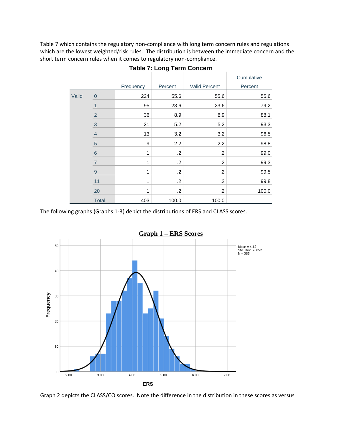Table 7 which contains the regulatory non-compliance with long term concern rules and regulations which are the lowest weighted/risk rules. The distribution is between the immediate concern and the short term concern rules when it comes to regulatory non-compliance.

|       |                |           | ۰IJ        |                      |            |
|-------|----------------|-----------|------------|----------------------|------------|
|       |                |           |            |                      | Cumulative |
|       |                | Frequency | Percent    | <b>Valid Percent</b> | Percent    |
| Valid | $\mathbf 0$    | 224       | 55.6       | 55.6                 | 55.6       |
|       |                | 95        | 23.6       | 23.6                 | 79.2       |
|       | $\overline{2}$ | 36        | 8.9        | 8.9                  | 88.1       |
|       | 3              | 21        | 5.2        | 5.2                  | 93.3       |
|       | $\overline{4}$ | 13        | 3.2        | 3.2                  | 96.5       |
|       | $\overline{5}$ | 9         | 2.2        | 2.2                  | 98.8       |
|       | $\,$ 6 $\,$    | 1         | $\cdot$    | $\cdot$              | 99.0       |
|       | $\overline{7}$ | 1         | $\cdot$ .2 | $\cdot$ .2           | 99.3       |
|       | $\overline{9}$ | 1         | $\cdot$ .2 | $\cdot$              | 99.5       |
|       | 11             | 1         | $\cdot$    | $\cdot$              | 99.8       |
|       | 20             | 1         | $\cdot$ .2 | $\cdot$ .2           | 100.0      |
|       | <b>Total</b>   | 403       | 100.0      | 100.0                |            |

| <b>Table 7: Long Term Concern</b> |  |  |  |  |  |
|-----------------------------------|--|--|--|--|--|
|-----------------------------------|--|--|--|--|--|

The following graphs (Graphs 1-3) depict the distributions of ERS and CLASS scores.



Graph 2 depicts the CLASS/CO scores. Note the difference in the distribution in these scores as versus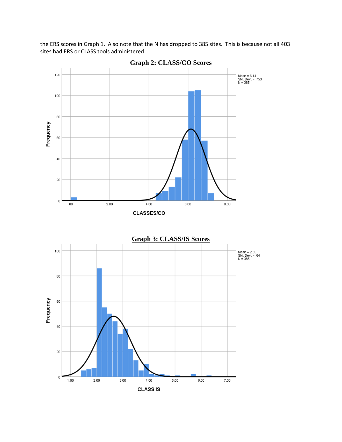the ERS scores in Graph 1. Also note that the N has dropped to 385 sites. This is because not all 403 sites had ERS or CLASS tools administered.



**Graph 2: CLASS/CO Scores**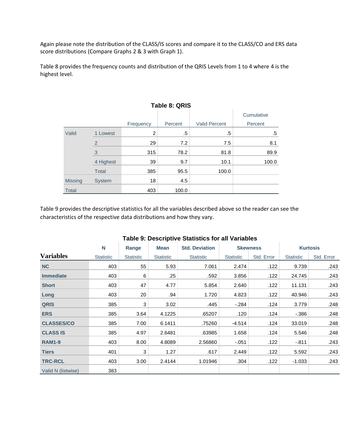Again please note the distribution of the CLASS/IS scores and compare it to the CLASS/CO and ERS data score distributions (Compare Graphs 2 & 3 with Graph 1).

Table 8 provides the frequency counts and distribution of the QRIS Levels from 1 to 4 where 4 is the highest level.

|                | Table 8: QRIS  |           |         |                      |            |  |  |  |  |
|----------------|----------------|-----------|---------|----------------------|------------|--|--|--|--|
|                |                |           |         |                      | Cumulative |  |  |  |  |
|                |                | Frequency | Percent | <b>Valid Percent</b> | Percent    |  |  |  |  |
| Valid          | 1 Lowest       | 2         | .5      | .5                   | .5         |  |  |  |  |
|                | $\overline{2}$ | 29        | 7.2     | 7.5                  | 8.1        |  |  |  |  |
|                | 3              | 315       | 78.2    | 81.8                 | 89.9       |  |  |  |  |
|                | 4 Highest      | 39        | 9.7     | 10.1                 | 100.0      |  |  |  |  |
|                | <b>Total</b>   | 385       | 95.5    | 100.0                |            |  |  |  |  |
| <b>Missing</b> | <b>System</b>  | 18        | 4.5     |                      |            |  |  |  |  |
| <b>Total</b>   |                | 403       | 100.0   |                      |            |  |  |  |  |

# Table 9 provides the descriptive statistics for all the variables described above so the reader can see the characteristics of the respective data distributions and how they vary.

|                    | N                | Range            | <b>Mean</b>      | <b>Std. Deviation</b> |                  | <b>Skewness</b> |                  | <b>Kurtosis</b> |
|--------------------|------------------|------------------|------------------|-----------------------|------------------|-----------------|------------------|-----------------|
| <b>Variables</b>   | <b>Statistic</b> | <b>Statistic</b> | <b>Statistic</b> | <b>Statistic</b>      | <b>Statistic</b> | Std. Error      | <b>Statistic</b> | Std. Error      |
| <b>NC</b>          | 403              | 55               | 5.93             | 7.061                 | 2.474            | .122            | 9.739            | .243            |
| <b>Immediate</b>   | 403              | 6                | .25              | .592                  | 3.856            | .122            | 24.745           | .243            |
| <b>Short</b>       | 403              | 47               | 4.77             | 5.854                 | 2.640            | .122            | 11.131           | .243            |
| Long               | 403              | 20               | .94              | 1.720                 | 4.823            | .122            | 40.946           | .243            |
| <b>QRIS</b>        | 385              | 3                | 3.02             | .445                  | $-284$           | .124            | 3.779            | .248            |
| <b>ERS</b>         | 385              | 3.64             | 4.1225           | .65207                | .120             | .124            | $-0.386$         | .248            |
| <b>CLASSES/CO</b>  | 385              | 7.00             | 6.1411           | .75260                | $-4.514$         | .124            | 33.019           | .248            |
| <b>CLASS IS</b>    | 385              | 4.97             | 2.6481           | .63985                | 1.658            | .124            | 5.546            | .248            |
| <b>RAM1-9</b>      | 403              | 8.00             | 4.8089           | 2.56860               | $-.051$          | .122            | $-.811$          | .243            |
| <b>Tiers</b>       | 401              | 3                | 1.27             | .617                  | 2.449            | .122            | 5.592            | .243            |
| <b>TRC-RCL</b>     | 403              | 3.00             | 2.4144           | 1.01946               | .304             | .122            | $-1.033$         | .243            |
| Valid N (listwise) | 383              |                  |                  |                       |                  |                 |                  |                 |

#### **Table 9: Descriptive Statistics for all Variables**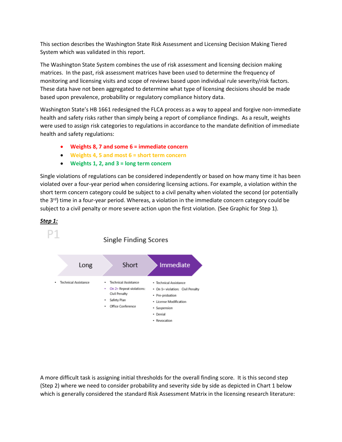This section describes the Washington State Risk Assessment and Licensing Decision Making Tiered System which was validated in this report.

The Washington State System combines the use of risk assessment and licensing decision making matrices. In the past, risk assessment matrices have been used to determine the frequency of monitoring and licensing visits and scope of reviews based upon individual rule severity/risk factors. These data have not been aggregated to determine what type of licensing decisions should be made based upon prevalence, probability or regulatory compliance history data.

Washington State's HB 1661 redesigned the FLCA process as a way to appeal and forgive non-immediate health and safety risks rather than simply being a report of compliance findings. As a result, weights were used to assign risk categories to regulations in accordance to the mandate definition of immediate health and safety regulations:

- **Weights 8, 7 and some 6 = immediate concern**
- **Weights 4, 5 and most 6 = short term concern**
- **Weights 1, 2, and 3 = long term concern**

Single violations of regulations can be considered independently or based on how many time it has been violated over a four-year period when considering licensing actions. For example, a violation within the short term concern category could be subject to a civil penalty when violated the second (or potentially the  $3<sup>rd</sup>$ ) time in a four-year period. Whereas, a violation in the immediate concern category could be subject to a civil penalty or more severe action upon the first violation. (See Graphic for Step 1).

# *Step 1:*



A more difficult task is assigning initial thresholds for the overall finding score. It is this second step (Step 2) where we need to consider probability and severity side by side as depicted in Chart 1 below which is generally considered the standard Risk Assessment Matrix in the licensing research literature: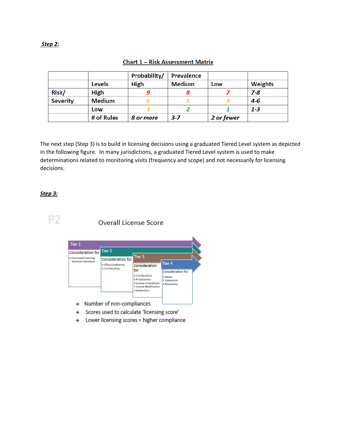#### *Step 2:*

|                 |               | Probability/ | <b>Prevalence</b> |            |                |
|-----------------|---------------|--------------|-------------------|------------|----------------|
|                 | <b>Levels</b> | <b>High</b>  | <b>Medium</b>     | Low        | <b>Weights</b> |
| Risk/           | <b>High</b>   |              |                   |            | $7-8$          |
| <b>Severity</b> | <b>Medium</b> |              |                   |            | 4-6            |
|                 | Low           |              |                   |            | $1 - 3$        |
|                 | # of Rules    | 8 or more    | 3-7               | 2 or fewer |                |

# **Chart 1 - Risk Assessment Matrix**

The next step (Step 3) is to build in licensing decisions using a graduated Tiered Level system as depicted in the following figure. In many jurisdictions, a graduated Tiered Level system is used to make determinations related to monitoring visits (frequency and scope) and not necessarily for licensing decisions.

#### *Step 3:*

P<sub>2</sub>

# **Overall License Score**

| Tier 1                                                             |                                          |                                                                                                                              |                                                                         |  |
|--------------------------------------------------------------------|------------------------------------------|------------------------------------------------------------------------------------------------------------------------------|-------------------------------------------------------------------------|--|
| Consideration for<br>· Continued Licensing<br>Technical Assistance | Tier 2<br>Consideration for              | Tier 3                                                                                                                       |                                                                         |  |
|                                                                    | · Office Conference<br>· Civil Penalties | Consideration<br>for<br>· Civil Penalties<br>· Probationary<br>· License Amendment<br>· License Modification<br>· Suspension | Tier 4<br>Consideration for<br>· Denial<br>· Suspension<br>· Basecation |  |
| Number of non-compliances<br>s                                     |                                          |                                                                                                                              |                                                                         |  |

- $\Leftrightarrow$  . Number of non-compliances.
- \* Scores used to calculate 'licensing score'
- Lower licensing scores = higher compliance